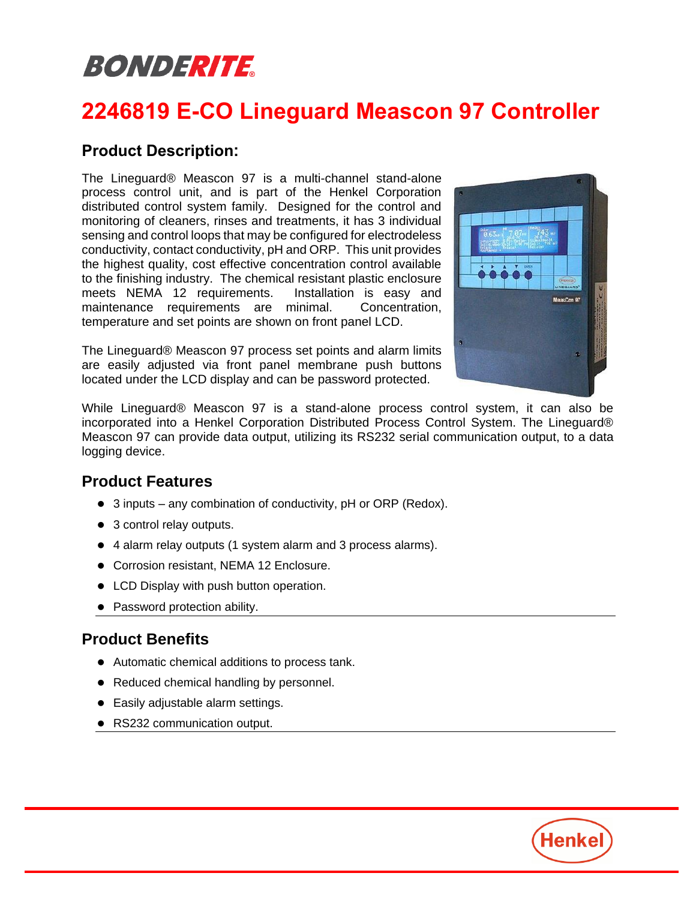# BONDERITE

## **2246819 E-CO Lineguard Meascon 97 Controller**

#### **Product Description:**

The Lineguard® Meascon 97 is a multi-channel stand-alone process control unit, and is part of the Henkel Corporation distributed control system family. Designed for the control and monitoring of cleaners, rinses and treatments, it has 3 individual sensing and control loops that may be configured for electrodeless conductivity, contact conductivity, pH and ORP. This unit provides the highest quality, cost effective concentration control available to the finishing industry. The chemical resistant plastic enclosure meets NEMA 12 requirements. Installation is easy and maintenance requirements are minimal. Concentration, temperature and set points are shown on front panel LCD.

The Lineguard® Meascon 97 process set points and alarm limits are easily adjusted via front panel membrane push buttons located under the LCD display and can be password protected.



While Lineguard® Meascon 97 is a stand-alone process control system, it can also be incorporated into a Henkel Corporation Distributed Process Control System. The Lineguard® Meascon 97 can provide data output, utilizing its RS232 serial communication output, to a data logging device.

#### **Product Features**

- ⚫ 3 inputs any combination of conductivity, pH or ORP (Redox).
- 3 control relay outputs.
- 4 alarm relay outputs (1 system alarm and 3 process alarms).
- Corrosion resistant, NEMA 12 Enclosure.
- ⚫ LCD Display with push button operation.
- Password protection ability.

### **Product Benefits**

- ⚫ Automatic chemical additions to process tank.
- Reduced chemical handling by personnel.
- Easily adjustable alarm settings.
- ⚫ RS232 communication output.

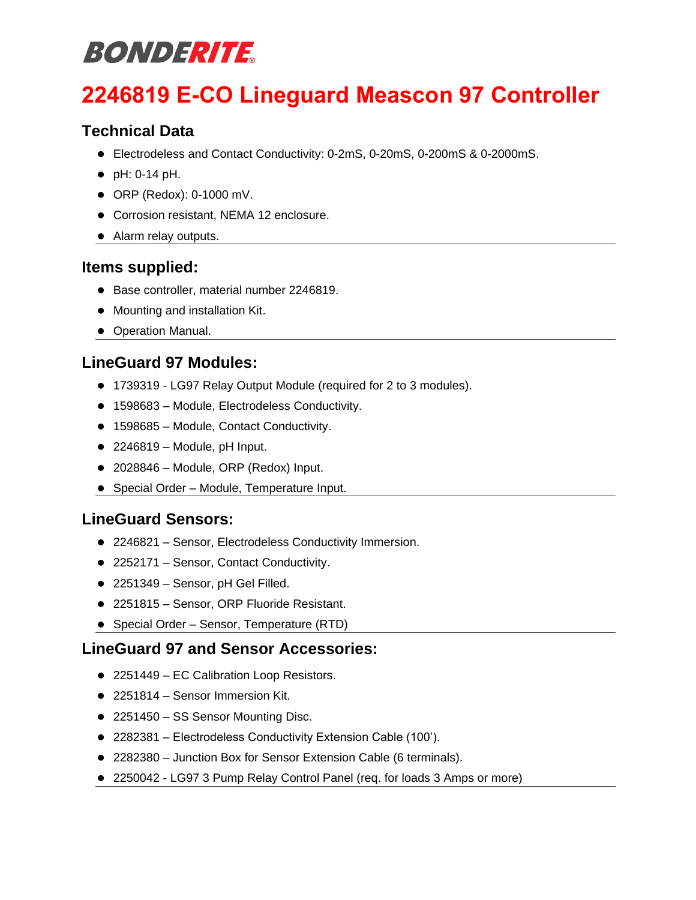# **BONDERITE**

## **2246819 E-CO Lineguard Meascon 97 Controller**

### **Technical Data**

- Electrodeless and Contact Conductivity: 0-2mS, 0-20mS, 0-200mS & 0-2000mS.
- ⚫ pH: 0-14 pH.
- ⚫ ORP (Redox): 0-1000 mV.
- ⚫ Corrosion resistant, NEMA 12 enclosure.
- ⚫ Alarm relay outputs.

### **Items supplied:**

- Base controller, material number 2246819.
- ⚫ Mounting and installation Kit.
- ⚫ Operation Manual.

### **LineGuard 97 Modules:**

- ⚫ 1739319 LG97 Relay Output Module (required for 2 to 3 modules).
- 1598683 Module, Electrodeless Conductivity.
- 1598685 Module, Contact Conductivity.
- $\bullet$  2246819 Module, pH Input.
- 2028846 Module, ORP (Redox) Input.
- Special Order Module, Temperature Input.

### **LineGuard Sensors:**

- 2246821 Sensor, Electrodeless Conductivity Immersion.
- 2252171 Sensor, Contact Conductivity.
- 2251349 Sensor, pH Gel Filled.
- 2251815 Sensor, ORP Fluoride Resistant.
- ⚫ Special Order Sensor, Temperature (RTD)

### **LineGuard 97 and Sensor Accessories:**

- 2251449 EC Calibration Loop Resistors.
- 2251814 Sensor Immersion Kit.
- 2251450 SS Sensor Mounting Disc.
- ⚫ 2282381 Electrodeless Conductivity Extension Cable (100').
- 2282380 Junction Box for Sensor Extension Cable (6 terminals).
- 2250042 LG97 3 Pump Relay Control Panel (req. for loads 3 Amps or more)